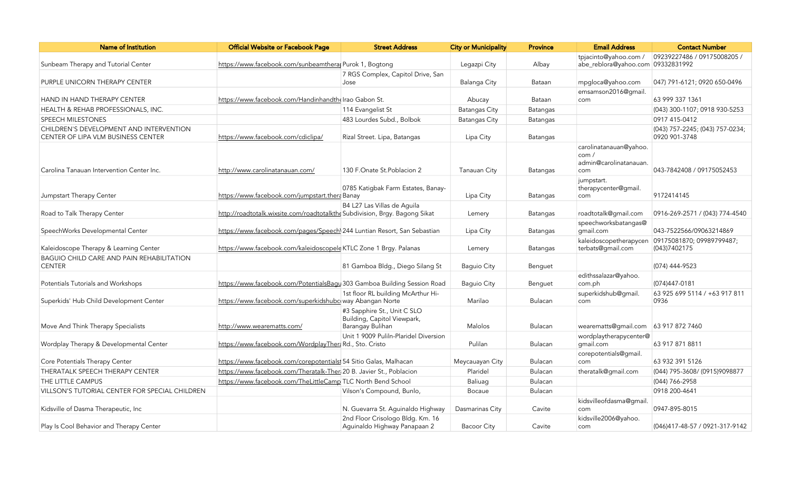| <b>Name of Institution</b>                                                    | <b>Official Website or Facebook Page</b>                                    | <b>Street Address</b>                                                          | <b>City or Municipality</b> | <b>Province</b> | <b>Email Address</b>                                            | <b>Contact Number</b>                            |
|-------------------------------------------------------------------------------|-----------------------------------------------------------------------------|--------------------------------------------------------------------------------|-----------------------------|-----------------|-----------------------------------------------------------------|--------------------------------------------------|
| Sunbeam Therapy and Tutorial Center                                           | https://www.facebook.com/sunbeamtheral Purok 1, Bogtong                     |                                                                                | Legazpi City                | Albay           | tpjacinto@yahoo.com /<br>abe_reblora@yahoo.com 09332831992      | 09239227486 / 09175008205 /                      |
| PURPLE UNICORN THERAPY CENTER                                                 |                                                                             | 7 RGS Complex, Capitol Drive, San<br>Jose                                      | Balanga City                | Bataan          | mpgloca@yahoo.com                                               | 047) 791-6121; 0920 650-0496                     |
| HAND IN HAND THERAPY CENTER                                                   | https://www.facebook.com/Handinhandthelrao Gabon St.                        |                                                                                | Abucay                      | Bataan          | emsamson2016@qmail.<br>com                                      | 63 999 337 1361                                  |
| HEALTH & REHAB PROFESSIONALS, INC.                                            |                                                                             | 114 Evangelist St                                                              | <b>Batangas City</b>        | Batangas        |                                                                 | (043) 300-1107; 0918 930-5253                    |
| SPEECH MILESTONES                                                             |                                                                             | 483 Lourdes Subd., Bolbok                                                      | <b>Batangas City</b>        | Batangas        |                                                                 | 0917 415-0412                                    |
| CHILDREN'S DEVELOPMENT AND INTERVENTION<br>CENTER OF LIPA VLM BUSINESS CENTER | https://www.facebook.com/cdiclipa/                                          | Rizal Street. Lipa, Batangas                                                   | Lipa City                   | Batangas        |                                                                 | (043) 757-2245; (043) 757-0234;<br>0920 901-3748 |
| Carolina Tanauan Intervention Center Inc.                                     | http://www.carolinatanauan.com/                                             | 130 F.Onate St.Poblacion 2                                                     | Tanauan City                | Batangas        | carolinatanauan@yahoo.<br>com/<br>admin@carolinatanauan.<br>com | 043-7842408 / 09175052453                        |
| Jumpstart Therapy Center                                                      | https://www.facebook.com/jumpstart.thera Banay                              | 0785 Katigbak Farm Estates, Banay-                                             | Lipa City                   | Batangas        | jumpstart.<br>therapycenter@gmail.<br>com                       | 9172414145                                       |
| Road to Talk Therapy Center                                                   | http://roadtotalk.wixsite.com/roadtotalkthe Subdivision, Brgy. Bagong Sikat | B4 L27 Las Villas de Aguila                                                    | Lemery                      | Batangas        | roadtotalk@gmail.com                                            | 0916-269-2571 / (043) 774-4540                   |
| SpeechWorks Developmental Center                                              | https://www.facebook.com/pages/Speech 244 Luntian Resort, San Sebastian     |                                                                                | Lipa City                   | Batangas        | speechworksbatangas@<br>gmail.com                               | 043-7522566/09063214869                          |
| Kaleidoscope Therapy & Learning Center                                        | https://www.facebook.com/kaleidoscopele KTLC Zone 1 Brgy. Palanas           |                                                                                | Lemery                      | Batangas        | kaleidoscopetherapycen<br>terbats@gmail.com                     | 09175081870; 09989799487;<br>(043)7402175        |
| <b>BAGUIO CHILD CARE AND PAIN REHABILITATION</b><br><b>CENTER</b>             |                                                                             | 81 Gamboa Bldg., Diego Silang St                                               | <b>Baguio City</b>          | Benguet         |                                                                 | (074) 444-9523                                   |
| Potentials Tutorials and Workshops                                            | https://www.facebook.com/PotentialsBagu 303 Gamboa Building Session Road    |                                                                                | <b>Baguio City</b>          | Benguet         | edithssalazar@yahoo.<br>com.ph                                  | (074)447-0181                                    |
| Superkids' Hub Child Development Center                                       | https://www.facebook.com/superkidshubc way Abangan Norte                    | 1st floor RL building McArthur Hi-                                             | Marilao                     | Bulacan         | superkidshub@gmail.<br>com                                      | 63 925 699 5114 / +63 917 811<br>0936            |
| Move And Think Therapy Specialists                                            | http://www.wearematts.com/                                                  | #3 Sapphire St., Unit C SLO<br>Building, Capitol Viewpark,<br>Barangay Bulihan | Malolos                     | Bulacan         | wearematts@gmail.com                                            | 63 917 872 7460                                  |
| Wordplay Therapy & Developmental Center                                       | https://www.facebook.com/WordplayTher: Rd., Sto. Cristo                     | Unit 1 9009 Puliln-Plaridel Diversion                                          | Pulilan                     | Bulacan         | wordplaytherapycenter@<br>qmail.com                             | 63 917 871 8811                                  |
| Core Potentials Therapy Center                                                | https://www.facebook.com/corepotentials 54 Sitio Galas, Malhacan            |                                                                                | Meycauayan City             | <b>Bulacan</b>  | corepotentials@gmail.<br>com                                    | 63 932 391 5126                                  |
| THERATALK SPEECH THERAPY CENTER                                               | https://www.facebook.com/Theratalk-Ther 20 B. Javier St., Poblacion         |                                                                                | Plaridel                    | Bulacan         | theratalk@gmail.com                                             | (044) 795-3608/ (0915)9098877                    |
| THE LITTLE CAMPUS                                                             | https://www.facebook.com/TheLittleCamp TLC North Bend School                |                                                                                | Baliuag                     | Bulacan         |                                                                 | (044) 766-2958                                   |
| <b>VILLSON'S TUTORIAL CENTER FOR SPECIAL CHILDREN</b>                         |                                                                             | Vilson's Compound, Bunlo,                                                      | Bocaue                      | Bulacan         |                                                                 | 0918 200-4641                                    |
| Kidsville of Dasma Therapeutic, Inc                                           |                                                                             | N. Guevarra St. Aguinaldo Highway                                              | Dasmarinas City             | Cavite          | kidsvilleofdasma@qmail.<br>com                                  | 0947-895-8015                                    |
| Play Is Cool Behavior and Therapy Center                                      |                                                                             | 2nd Floor Crisologo Bldg. Km. 16<br>Aguinaldo Highway Panapaan 2               | <b>Bacoor City</b>          | Cavite          | kidsville2006@yahoo.<br>com                                     | (046)417-48-57 / 0921-317-9142                   |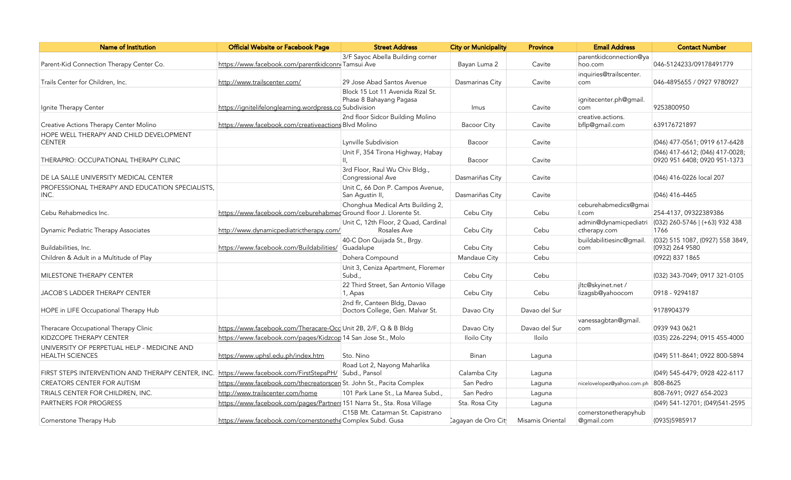| <b>Name of Institution</b>                                                                             | Official Website or Facebook Page                                        | <b>Street Address</b>                                        | <b>City or Municipality</b>     | <b>Province</b>  | <b>Email Address</b>          | <b>Contact Number</b>                    |
|--------------------------------------------------------------------------------------------------------|--------------------------------------------------------------------------|--------------------------------------------------------------|---------------------------------|------------------|-------------------------------|------------------------------------------|
|                                                                                                        |                                                                          | 3/F Sayoc Abella Building corner                             |                                 |                  | parentkidconnection@ya        |                                          |
| Parent-Kid Connection Therapy Center Co.                                                               | https://www.facebook.com/parentkidconn Tamsui Ave                        |                                                              | Bayan Luma 2                    | Cavite           | hoo.com                       | 046-5124233/09178491779                  |
|                                                                                                        |                                                                          |                                                              |                                 |                  | inquiries@trailscenter.       |                                          |
| Trails Center for Children, Inc.                                                                       | http://www.trailscenter.com/                                             | 29 Jose Abad Santos Avenue                                   | Dasmarinas City                 | Cavite           | com                           | 046-4895655 / 0927 9780927               |
|                                                                                                        |                                                                          | Block 15 Lot 11 Avenida Rizal St.<br>Phase 8 Bahayang Pagasa |                                 |                  | ignitecenter.ph@gmail.        |                                          |
| Ignite Therapy Center                                                                                  | https://ignitelifelonglearning.wordpress.co Subdivision                  |                                                              | Imus                            | Cavite           | com                           | 9253800950                               |
|                                                                                                        |                                                                          | 2nd floor Sidcor Building Molino                             |                                 |                  | creative.actions.             |                                          |
| Creative Actions Therapy Center Molino                                                                 | https://www.facebook.com/creativeactions Blvd Molino                     |                                                              | <b>Bacoor City</b>              | Cavite           | bflp@gmail.com                | 639176721897                             |
| HOPE WELL THERAPY AND CHILD DEVELOPMENT                                                                |                                                                          |                                                              |                                 |                  |                               |                                          |
| <b>CENTER</b>                                                                                          |                                                                          | Lynville Subdivision                                         | Bacoor                          | Cavite           |                               | (046) 477-0561; 0919 617-6428            |
|                                                                                                        |                                                                          | Unit F, 354 Tirona Highway, Habay                            |                                 |                  |                               | (046) 417-6612; (046) 417-0028;          |
| THERAPRO: OCCUPATIONAL THERAPY CLINIC                                                                  |                                                                          |                                                              | Bacoor                          | Cavite           |                               | 0920 951 6408; 0920 951-1373             |
|                                                                                                        |                                                                          | 3rd Floor, Raul Wu Chiv Bldg.,                               |                                 |                  |                               |                                          |
| DE LA SALLE UNIVERSITY MEDICAL CENTER                                                                  |                                                                          | Congressional Ave                                            | Dasmariñas City                 | Cavite           |                               | (046) 416-0226 local 207                 |
| PROFESSIONAL THERAPY AND EDUCATION SPECIALISTS.                                                        |                                                                          | Unit C, 66 Don P. Campos Avenue,                             |                                 |                  |                               |                                          |
| INC.                                                                                                   |                                                                          | San Aqustin II,                                              | Dasmariñas City                 | Cavite           |                               | (046) 416-4465                           |
| Cebu Rehabmedics Inc.                                                                                  | https://www.facebook.com/ceburehabmed Ground floor J. Llorente St.       | Chonghua Medical Arts Building 2,                            | Cebu City                       | Cebu             | ceburehabmedics@qmai<br>l.com | 254-4137, 09322389386                    |
|                                                                                                        |                                                                          | Unit C, 12th Floor, 2 Quad, Cardinal                         |                                 |                  | admin@dynamicpediatri         |                                          |
| Dynamic Pediatric Therapy Associates                                                                   | http://www.dynamicpediatrictherapy.com/                                  | Rosales Ave                                                  | Cebu City                       | Cebu             | ctherapy.com                  | $(032)$ 260-5746 $(+63)$ 932 438<br>1766 |
|                                                                                                        |                                                                          | 40-C Don Quijada St., Brgy.                                  |                                 |                  | buildabilitiesinc@qmail       | (032) 515 1087, (0927) 558 3849,         |
| Buildabilities, Inc.                                                                                   | https://www.facebook.com/Buildabilities/                                 | Guadalupe                                                    | Cebu City                       | Cebu             | com                           | (0932) 264 9580                          |
| Children & Adult in a Multitude of Play                                                                |                                                                          | Dohera Compound                                              | Mandaue City                    | Cebu             |                               | (0922) 837 1865                          |
|                                                                                                        |                                                                          | Unit 3, Ceniza Apartment, Floremer                           |                                 |                  |                               |                                          |
| MILESTONE THERAPY CENTER                                                                               |                                                                          | Subd.,                                                       | Cebu City                       | Cebu             |                               | (032) 343-7049; 0917 321-0105            |
|                                                                                                        |                                                                          | 22 Third Street, San Antonio Village                         |                                 |                  | jltc@skyinet.net /            |                                          |
| <b>JACOB'S LADDER THERAPY CENTER</b>                                                                   |                                                                          | 1, Apas                                                      | Cebu City                       | Cebu             | lizagsb@yahoocom              | 0918 - 9294187                           |
|                                                                                                        |                                                                          | 2nd flr, Canteen Bldg, Davao                                 |                                 |                  |                               |                                          |
| HOPE in LIFE Occupational Therapy Hub                                                                  |                                                                          | Doctors College, Gen. Malvar St.                             | Davao City                      | Davao del Sur    |                               | 9178904379                               |
|                                                                                                        |                                                                          |                                                              |                                 |                  | vanessagbtan@gmail.           |                                          |
| Theracare Occupational Therapy Clinic                                                                  | https://www.facebook.com/Theracare-Occ Unit 2B, 2/F, Q & B Bldg          |                                                              | Davao City                      | Davao del Sur    | com                           | 0939 943 0621                            |
| KIDZCOPE THERAPY CENTER                                                                                | https://www.facebook.com/pages/Kidzcop 14 San Jose St., Molo             |                                                              | Iloilo City                     | <b>Iloilo</b>    |                               | (035) 226-2294; 0915 455-4000            |
| UNIVERSITY OF PERPETUAL HELP - MEDICINE AND<br><b>HEALTH SCIENCES</b>                                  | https://www.uphsl.edu.ph/index.htm                                       | Sto. Nino                                                    | Binan                           | Laguna           |                               | (049) 511-8641; 0922 800-5894            |
|                                                                                                        |                                                                          | Road Lot 2, Nayong Maharlika                                 |                                 |                  |                               |                                          |
| FIRST STEPS INTERVENTION AND THERAPY CENTER, INC. https://www.facebook.com/FirstStepsPH/ Subd., Pansol |                                                                          |                                                              | Calamba City                    | Laguna           |                               | (049) 545-6479; 0928 422-6117            |
| CREATORS CENTER FOR AUTISM                                                                             | https://www.facebook.com/thecreatorscen St. John St., Pacita Complex     |                                                              | San Pedro                       | Laguna           | nicelovelopez@yahoo.com.ph    | 808-8625                                 |
| TRIALS CENTER FOR CHILDREN, INC.                                                                       | http://www.trailscenter.com/home                                         | 101 Park Lane St., La Marea Subd.,                           | San Pedro                       | Laguna           |                               | 808-7691; 0927 654-2023                  |
| <b>PARTNERS FOR PROGRESS</b>                                                                           | https://www.facebook.com/pages/Partners 151 Narra St., Sta. Rosa Village |                                                              | Sta. Rosa City                  | Laguna           |                               | (049) 541-12701; (049) 541-2595          |
|                                                                                                        |                                                                          | C15B Mt. Catarman St. Capistrano                             |                                 |                  | cornerstonetherapyhub         |                                          |
| Cornerstone Therapy Hub                                                                                | https://www.facebook.com/cornerstonethe Complex Subd. Gusa               |                                                              | Cagayan de Oro Cit <sup>i</sup> | Misamis Oriental | @gmail.com                    | (0935)5985917                            |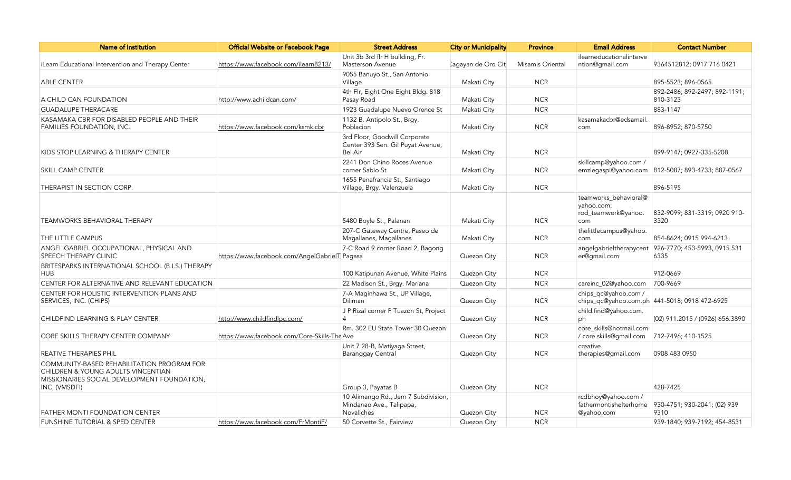| Name of Institution                                                                                                                              | Official Website or Facebook Page             | <b>Street Address</b>                                                                | <b>City or Municipality</b> | <b>Province</b>  | <b>Email Address</b>                                              | <b>Contact Number</b>                             |
|--------------------------------------------------------------------------------------------------------------------------------------------------|-----------------------------------------------|--------------------------------------------------------------------------------------|-----------------------------|------------------|-------------------------------------------------------------------|---------------------------------------------------|
|                                                                                                                                                  |                                               | Unit 3b 3rd flr H building, Fr.                                                      |                             |                  | ilearneducationalinterve                                          |                                                   |
| iLearn Educational Intervention and Therapy Center                                                                                               | https://www.facebook.com/ilearn8213/          | <b>Masterson Avenue</b>                                                              | Cagayan de Oro Cit          | Misamis Oriental | ntion@gmail.com                                                   | 9364512812; 0917 716 0421                         |
| <b>ABLE CENTER</b>                                                                                                                               |                                               | 9055 Banuyo St., San Antonio<br>Village                                              | Makati City                 | <b>NCR</b>       |                                                                   | 895-5523; 896-0565                                |
|                                                                                                                                                  |                                               | 4th Flr, Eight One Eight Bldg. 818                                                   |                             |                  |                                                                   | 892-2486; 892-2497; 892-1191;                     |
| A CHILD CAN FOUNDATION                                                                                                                           | http://www.achildcan.com/                     | Pasay Road                                                                           | Makati City                 | <b>NCR</b>       |                                                                   | 810-3123                                          |
| <b>GUADALUPE THERACARE</b>                                                                                                                       |                                               | 1923 Guadalupe Nuevo Orence St                                                       | Makati City                 | <b>NCR</b>       |                                                                   | 883-1147                                          |
| KASAMAKA CBR FOR DISABLED PEOPLE AND THEIR<br>FAMILIES FOUNDATION, INC.                                                                          | https://www.facebook.com/ksmk.cbr             | 1132 B. Antipolo St., Brgy.<br>Poblacion                                             | Makati City                 | <b>NCR</b>       | kasamakacbr@edsamail.<br>com                                      | 896-8952; 870-5750                                |
| KIDS STOP LEARNING & THERAPY CENTER                                                                                                              |                                               | 3rd Floor, Goodwill Corporate<br>Center 393 Sen. Gil Puyat Avenue,<br>Bel Air        | Makati City                 | <b>NCR</b>       |                                                                   | 899-9147: 0927-335-5208                           |
| <b>SKILL CAMP CENTER</b>                                                                                                                         |                                               | 2241 Don Chino Roces Avenue<br>corner Sabio St                                       | Makati City                 | <b>NCR</b>       | skillcamp@yahoo.com /                                             | emzlegaspi@yahoo.com 812-5087; 893-4733; 887-0567 |
| THERAPIST IN SECTION CORP.                                                                                                                       |                                               | 1655 Penafrancia St., Santiago<br>Village, Brgy. Valenzuela                          | Makati City                 | <b>NCR</b>       |                                                                   | 896-5195                                          |
| <b>TEAMWORKS BEHAVIORAL THERAPY</b>                                                                                                              |                                               | 5480 Boyle St., Palanan                                                              | Makati City                 | <b>NCR</b>       | teamworks_behavioral@<br>yahoo.com;<br>rod_teamwork@yahoo.<br>com | 832-9099; 831-3319; 0920 910-<br>3320             |
| THE LITTLE CAMPUS                                                                                                                                |                                               | 207-C Gateway Centre, Paseo de<br>Magallanes, Magallanes                             | Makati City                 | <b>NCR</b>       | thelittlecampus@yahoo.<br>com                                     | 854-8624; 0915 994-6213                           |
| ANGEL GABRIEL OCCUPATIONAL, PHYSICAL AND<br>SPEECH THERAPY CLINIC                                                                                | https://www.facebook.com/AngelGabrielT Pagasa | 7-C Road 9 corner Road 2, Bagong                                                     | Quezon City                 | <b>NCR</b>       | angelgabrieltherapycent<br>er@gmail.com                           | 926-7770; 453-5993, 0915 531<br>6335              |
| BRITESPARKS INTERNATIONAL SCHOOL (B.I.S.) THERAPY<br><b>HUB</b>                                                                                  |                                               | 100 Katipunan Avenue, White Plains                                                   | Quezon City                 | <b>NCR</b>       |                                                                   | 912-0669                                          |
| CENTER FOR ALTERNATIVE AND RELEVANT EDUCATION                                                                                                    |                                               | 22 Madison St., Brgy. Mariana                                                        | Quezon City                 | <b>NCR</b>       | careinc_02@yahoo.com                                              | 700-9669                                          |
| CENTER FOR HOLISTIC INTERVENTION PLANS AND<br>SERVICES, INC. (CHIPS)                                                                             |                                               | 7-A Maginhawa St., UP Village,<br>Diliman                                            | Quezon City                 | <b>NCR</b>       | chips_qc@yahoo.com /                                              | chips_qc@yahoo.com.ph 441-5018; 0918 472-6925     |
| CHILDFIND LEARNING & PLAY CENTER                                                                                                                 | http://www.childfindlpc.com/                  | J P Rizal corner P Tuazon St, Project<br>4                                           | Quezon City                 | <b>NCR</b>       | child.find@yahoo.com.<br>ph                                       | (02) 911.2015 / (0926) 656.3890                   |
| <b>CORE SKILLS THERAPY CENTER COMPANY</b>                                                                                                        | https://www.facebook.com/Core-Skills-The Ave  | Rm. 302 EU State Tower 30 Quezon                                                     | Quezon City                 | <b>NCR</b>       | core_skills@hotmail.com<br>/ core.skills@gmail.com                | 712-7496; 410-1525                                |
| REATIVE THERAPIES PHIL                                                                                                                           |                                               | Unit 7 28-B, Matiyaga Street,<br><b>Baranggay Central</b>                            | Quezon City                 | <b>NCR</b>       | creative.<br>therapies@gmail.com                                  | 0908 483 0950                                     |
| COMMUNITY-BASED REHABILITATION PROGRAM FOR<br>CHILDREN & YOUNG ADULTS VINCENTIAN<br>MISSIONARIES SOCIAL DEVELOPMENT FOUNDATION,<br>INC. (VMSDFI) |                                               | Group 3, Payatas B                                                                   | Quezon City                 | <b>NCR</b>       |                                                                   | 428-7425                                          |
| FATHER MONTI FOUNDATION CENTER                                                                                                                   |                                               | 10 Alimango Rd., Jem 7 Subdivision,<br>Mindanao Ave., Talipapa,<br><b>Novaliches</b> | Quezon City                 | <b>NCR</b>       | rcdbhoy@yahoo.com /<br>fathermontishelterhome<br>@yahoo.com       | 930-4751; 930-2041; (02) 939<br>9310              |
| FUNSHINE TUTORIAL & SPED CENTER                                                                                                                  | https://www.facebook.com/FrMontiF/            | 50 Corvette St., Fairview                                                            | Quezon City                 | <b>NCR</b>       |                                                                   | 939-1840; 939-7192; 454-8531                      |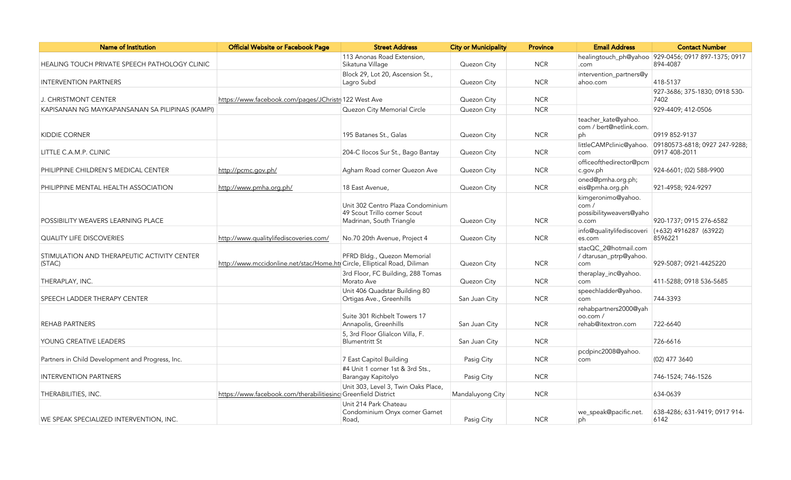| <b>Name of Institution</b>                            | Official Website or Facebook Page                                         | <b>Street Address</b>                                                                         | <b>City or Municipality</b> | <b>Province</b> | <b>Email Address</b>                                           | <b>Contact Number</b>                                           |
|-------------------------------------------------------|---------------------------------------------------------------------------|-----------------------------------------------------------------------------------------------|-----------------------------|-----------------|----------------------------------------------------------------|-----------------------------------------------------------------|
| HEALING TOUCH PRIVATE SPEECH PATHOLOGY CLINIC         |                                                                           | 113 Anonas Road Extension,<br>Sikatuna Village                                                | Quezon City                 | <b>NCR</b>      | .com                                                           | healingtouch_ph@yahoo 929-0456; 0917 897-1375; 0917<br>894-4087 |
| <b>INTERVENTION PARTNERS</b>                          |                                                                           | Block 29, Lot 20, Ascension St.,<br>Lagro Subd                                                | Quezon City                 | <b>NCR</b>      | intervention_partners@y<br>ahoo.com                            | 418-5137                                                        |
| J. CHRISTMONT CENTER                                  | https://www.facebook.com/pages/JChristr 122 West Ave                      |                                                                                               | Quezon City                 | <b>NCR</b>      |                                                                | 927-3686; 375-1830; 0918 530-<br>7402                           |
| KAPISANAN NG MAYKAPANSANAN SA PILIPINAS (KAMPI)       |                                                                           | Quezon City Memorial Circle                                                                   | Quezon City                 | <b>NCR</b>      |                                                                | 929-4409; 412-0506                                              |
| <b>KIDDIE CORNER</b>                                  |                                                                           | 195 Batanes St., Galas                                                                        | Quezon City                 | <b>NCR</b>      | teacher_kate@yahoo.<br>com / bert@netlink.com.<br>ph           | 0919 852-9137                                                   |
| LITTLE C.A.M.P. CLINIC                                |                                                                           | 204-C Ilocos Sur St., Bago Bantay                                                             | Quezon City                 | <b>NCR</b>      | littleCAMPclinic@yahoo.<br>com                                 | 09180573-6818; 0927 247-9288;<br>0917 408-2011                  |
| PHILIPPINE CHILDREN'S MEDICAL CENTER                  | http://pcmc.gov.ph/                                                       | Agham Road corner Quezon Ave                                                                  | Quezon City                 | <b>NCR</b>      | officeofthedirector@pcm<br>c.gov.ph                            | 924-6601; (02) 588-9900                                         |
| PHILIPPINE MENTAL HEALTH ASSOCIATION                  | http://www.pmha.org.ph/                                                   | 18 East Avenue,                                                                               | Quezon City                 | <b>NCR</b>      | oned@pmha.org.ph;<br>eis@pmha.org.ph                           | 921-4958; 924-9297                                              |
| POSSIBILITY WEAVERS LEARNING PLACE                    |                                                                           | Unit 302 Centro Plaza Condominium<br>49 Scout Trillo corner Scout<br>Madrinan, South Triangle | Quezon City                 | <b>NCR</b>      | kimgeronimo@yahoo.<br>com/<br>possibilityweavers@yaho<br>o.com | 920-1737; 0915 276-6582                                         |
| <b>QUALITY LIFE DISCOVERIES</b>                       | http://www.qualitylifediscoveries.com/                                    | No.70 20th Avenue, Project 4                                                                  | Quezon City                 | <b>NCR</b>      | es.com                                                         | info@qualitylifediscoveri (+632) 4916287 (63922)<br>8596221     |
| STIMULATION AND THERAPEUTIC ACTIVITY CENTER<br>(STAC) | http://www.mccidonline.net/stac/Home.hti Circle, Elliptical Road, Diliman | PFRD Bldg., Quezon Memorial                                                                   | Quezon City                 | <b>NCR</b>      | stacQC_2@hotmail.com<br>/ dtarusan_ptrp@yahoo.<br>com          | 929-5087; 0921-4425220                                          |
| THERAPLAY, INC.                                       |                                                                           | 3rd Floor, FC Building, 288 Tomas<br>Morato Ave                                               | Quezon City                 | <b>NCR</b>      | theraplay_inc@yahoo.<br>com                                    | 411-5288; 0918 536-5685                                         |
| SPEECH LADDER THERAPY CENTER                          |                                                                           | Unit 406 Quadstar Building 80<br>Ortigas Ave., Greenhills                                     | San Juan City               | <b>NCR</b>      | speechladder@yahoo.<br>com                                     | 744-3393                                                        |
| <b>REHAB PARTNERS</b>                                 |                                                                           | Suite 301 Richbelt Towers 17<br>Annapolis, Greenhills                                         | San Juan City               | <b>NCR</b>      | rehabpartners2000@yah<br>oo.com /<br>rehab@itextron.com        | 722-6640                                                        |
| YOUNG CREATIVE LEADERS                                |                                                                           | 5, 3rd Floor Glialcon Villa, F.<br><b>Blumentritt St</b>                                      | San Juan City               | <b>NCR</b>      |                                                                | 726-6616                                                        |
| Partners in Child Development and Progress, Inc.      |                                                                           | 7 East Capitol Building                                                                       | Pasig City                  | <b>NCR</b>      | pcdpinc2008@yahoo.<br>com                                      | (02) 477 3640                                                   |
| <b>INTERVENTION PARTNERS</b>                          |                                                                           | #4 Unit 1 corner 1st & 3rd Sts.,<br>Barangay Kapitolyo                                        | Pasig City                  | <b>NCR</b>      |                                                                | 746-1524; 746-1526                                              |
| THERABILITIES, INC.                                   | https://www.facebook.com/therabilitiesinc Greenfield District             | Unit 303, Level 3, Twin Oaks Place,                                                           | Mandaluyong City            | <b>NCR</b>      |                                                                | 634-0639                                                        |
| WE SPEAK SPECIALIZED INTERVENTION, INC.               |                                                                           | Unit 214 Park Chateau<br>Condominium Onyx corner Garnet<br>Road,                              | Pasig City                  | <b>NCR</b>      | we_speak@pacific.net.<br>ph                                    | 638-4286; 631-9419; 0917 914-<br>6142                           |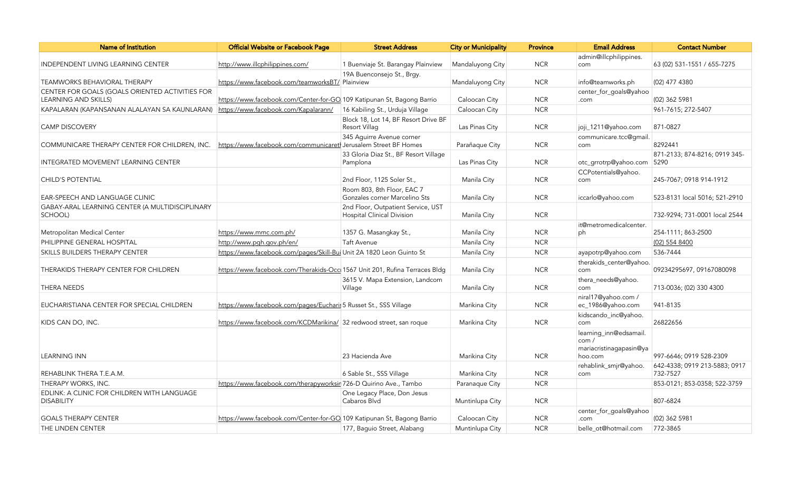| Name of Institution                                              | <b>Official Website or Facebook Page</b>                                   | <b>Street Address</b>                                        | <b>City or Municipality</b> | <b>Province</b> | <b>Email Address</b>                                                 | <b>Contact Number</b>                 |
|------------------------------------------------------------------|----------------------------------------------------------------------------|--------------------------------------------------------------|-----------------------------|-----------------|----------------------------------------------------------------------|---------------------------------------|
|                                                                  |                                                                            |                                                              |                             |                 | admin@illcphilippines.                                               |                                       |
| INDEPENDENT LIVING LEARNING CENTER                               | http://www.illcphilippines.com/                                            | 1 Buenviaje St. Barangay Plainview                           | Mandaluyong City            | <b>NCR</b>      | com                                                                  | 63 (02) 531-1551 / 655-7275           |
|                                                                  |                                                                            | 19A Buenconsejo St., Brgy.                                   |                             |                 |                                                                      |                                       |
| <b>TEAMWORKS BEHAVIORAL THERAPY</b>                              | https://www.facebook.com/teamworksBT/ Plainview                            |                                                              | Mandaluyong City            | <b>NCR</b>      | info@teamworks.ph                                                    | (02) 477 4380                         |
| CENTER FOR GOALS (GOALS ORIENTED ACTIVITIES FOR                  |                                                                            |                                                              |                             |                 | center_for_goals@yahoo                                               |                                       |
| <b>LEARNING AND SKILLS)</b>                                      | https://www.facebook.com/Center-for-GO 109 Katipunan St, Bagong Barrio     |                                                              | Caloocan City               | <b>NCR</b>      | .com                                                                 | (02) 362 5981                         |
| KAPALARAN (KAPANSANAN ALALAYAN SA KAUNLARAN)                     | https://www.facebook.com/Kapalarann/                                       | 16 Kabiling St., Urduja Village                              | Caloocan City               | <b>NCR</b>      |                                                                      | 961-7615; 272-5407                    |
| <b>CAMP DISCOVERY</b>                                            |                                                                            | Block 18, Lot 14, BF Resort Drive BF<br><b>Resort Villag</b> | Las Pinas City              | <b>NCR</b>      | joji_1211@yahoo.com                                                  | 871-0827                              |
|                                                                  |                                                                            | 345 Aguirre Avenue corner                                    |                             |                 | communicare.tcc@qmail.                                               |                                       |
| COMMUNICARE THERAPY CENTER FOR CHILDREN, INC.                    | https://www.facebook.com/communicaretl Jerusalem Street BF Homes           |                                                              | Parañaque City              | <b>NCR</b>      | com                                                                  | 8292441                               |
| INTEGRATED MOVEMENT LEARNING CENTER                              |                                                                            | 33 Gloria Diaz St., BF Resort Village<br>Pamplona            | Las Pinas City              | <b>NCR</b>      | otc_grrotrp@yahoo.com                                                | 871-2133; 874-8216; 0919 345-<br>5290 |
|                                                                  |                                                                            |                                                              |                             |                 | CCPotentials@yahoo.                                                  |                                       |
| <b>CHILD'S POTENTIAL</b>                                         |                                                                            | 2nd Floor, 1125 Soler St.,                                   | Manila City                 | <b>NCR</b>      | com                                                                  | 245-7067; 0918 914-1912               |
|                                                                  |                                                                            | Room 803, 8th Floor, EAC 7                                   |                             |                 |                                                                      |                                       |
| EAR-SPEECH AND LANGUAGE CLINIC                                   |                                                                            | Gonzales corner Marcelino Sts                                | Manila City                 | <b>NCR</b>      | iccarlo@yahoo.com                                                    | 523-8131 local 5016; 521-2910         |
| GABAY-ARAL LEARNING CENTER (A MULTIDISCIPLINARY                  |                                                                            | 2nd Floor, Outpatient Service, UST                           |                             |                 |                                                                      |                                       |
| SCHOOL)                                                          |                                                                            | <b>Hospital Clinical Division</b>                            | Manila City                 | <b>NCR</b>      |                                                                      | 732-9294; 731-0001 local 2544         |
| Metropolitan Medical Center                                      | https://www.mmc.com.ph/                                                    | 1357 G. Masangkay St.,                                       | Manila City                 | <b>NCR</b>      | it@metromedicalcenter.<br>ph                                         | 254-1111; 863-2500                    |
|                                                                  |                                                                            |                                                              |                             |                 |                                                                      |                                       |
| PHILIPPINE GENERAL HOSPITAL                                      | http://www.pgh.gov.ph/en/                                                  | Taft Avenue                                                  | Manila City                 | <b>NCR</b>      |                                                                      | (02) 554 8400                         |
| SKILLS BUILDERS THERAPY CENTER                                   | https://www.facebook.com/pages/Skill-Bui Unit 2A 1820 Leon Guinto St       |                                                              | Manila City                 | <b>NCR</b>      | ayapotrp@yahoo.com                                                   | 536-7444                              |
| THERAKIDS THERAPY CENTER FOR CHILDREN                            | https://www.facebook.com/Therakids-Occ 1567 Unit 201, Rufina Terraces Bldg |                                                              | Manila City                 | <b>NCR</b>      | therakids_center@yahoo.<br>com                                       | 09234295697, 09167080098              |
|                                                                  |                                                                            | 3615 V. Mapa Extension, Landcom                              |                             |                 | thera_needs@yahoo.                                                   |                                       |
| <b>THERA NEEDS</b>                                               |                                                                            | Village                                                      | Manila City                 | <b>NCR</b>      | com                                                                  | 713-0036; (02) 330 4300               |
|                                                                  |                                                                            |                                                              |                             |                 | niral17@yahoo.com /                                                  |                                       |
| EUCHARISTIANA CENTER FOR SPECIAL CHILDREN                        | https://www.facebook.com/pages/Eucharis 5 Russet St., SSS Village          |                                                              | Marikina City               | <b>NCR</b>      | ec_1986@yahoo.com                                                    | 941-8135                              |
|                                                                  |                                                                            |                                                              |                             |                 | kidscando inc@yahoo.                                                 | 26822656                              |
| KIDS CAN DO, INC.                                                | https://www.facebook.com/KCDMarikina/ 32 redwood street, san roque         |                                                              | Marikina City               | <b>NCR</b>      | com                                                                  |                                       |
| <b>LEARNING INN</b>                                              |                                                                            | 23 Hacienda Ave                                              | Marikina City               | <b>NCR</b>      | learning_inn@edsamail.<br>com/<br>mariacristinagapasin@ya<br>hoo.com | 997-6646; 0919 528-2309               |
|                                                                  |                                                                            |                                                              |                             |                 | rehablink_smjr@yahoo.                                                | 642-4338; 0919 213-5883; 0917         |
| REHABLINK THERA T.E.A.M.                                         |                                                                            | 6 Sable St., SSS Village                                     | Marikina City               | <b>NCR</b>      | com                                                                  | 732-7527                              |
| THERAPY WORKS, INC.                                              | https://www.facebook.com/therapyworksir 726-D Quirino Ave., Tambo          |                                                              | Paranaque City              | <b>NCR</b>      |                                                                      | 853-0121; 853-0358; 522-3759          |
| EDLINK: A CLINIC FOR CHILDREN WITH LANGUAGE<br><b>DISABILITY</b> |                                                                            | One Legacy Place, Don Jesus<br>Cabaros Blvd                  | Muntinlupa City             | <b>NCR</b>      |                                                                      | 807-6824                              |
| <b>GOALS THERAPY CENTER</b>                                      | https://www.facebook.com/Center-for-GO 109 Katipunan St, Bagong Barrio     |                                                              | Caloocan City               | <b>NCR</b>      | center_for_goals@yahoo<br>.com                                       | (02) 362 5981                         |
| THE LINDEN CENTER                                                |                                                                            | 177, Baguio Street, Alabang                                  | Muntinlupa City             | <b>NCR</b>      | belle ot@hotmail.com                                                 | 772-3865                              |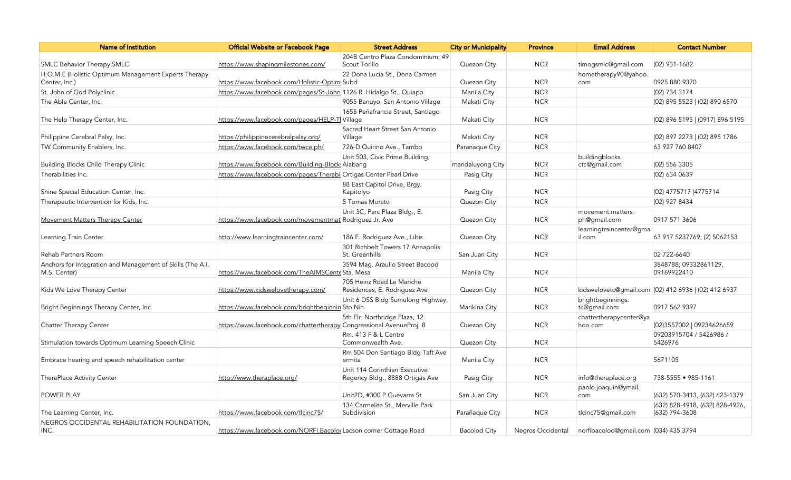| <b>Name of Institution</b>                                                 | Official Website or Facebook Page                                   | <b>Street Address</b>                                            | <b>City or Municipality</b> | <b>Province</b>   | <b>Email Address</b>                  | <b>Contact Number</b>                                |
|----------------------------------------------------------------------------|---------------------------------------------------------------------|------------------------------------------------------------------|-----------------------------|-------------------|---------------------------------------|------------------------------------------------------|
|                                                                            |                                                                     | 204B Centro Plaza Condominium, 49                                |                             |                   |                                       |                                                      |
| <b>SMLC Behavior Therapy SMLC</b>                                          | https://www.shapingmilestones.com/                                  | Scout Torillo                                                    | Quezon City                 | <b>NCR</b>        | timogsmlc@gmail.com                   | (02) 931-1682                                        |
| H.O.M.E (Holistic Optimum Management Experts Therapy<br>Center, Inc.)      | https://www.facebook.com/Holistic-Optim Subd                        | 22 Dona Lucia St., Dona Carmen                                   | Quezon City                 | <b>NCR</b>        | hometherapy90@yahoo.<br>com           | 0925 880 9370                                        |
| St. John of God Polyclinic                                                 | https://www.facebook.com/pages/St-John 1126 R. Hidalgo St., Quiapo  |                                                                  | Manila City                 | <b>NCR</b>        |                                       | (02) 734 3174                                        |
| The Able Center, Inc.                                                      |                                                                     | 9055 Banuyo, San Antonio Village                                 | Makati City                 | <b>NCR</b>        |                                       | (02) 895 5523   (02) 890 6570                        |
| The Help Therapy Center, Inc.                                              | https://www.facebook.com/pages/HELP-TI Village                      | 1655 Peñafrancia Street, Santiago                                | Makati City                 | <b>NCR</b>        |                                       | (02) 896 5195   (0917) 896 5195                      |
| Philippine Cerebral Palsy, Inc.                                            | https://philippinecerebralpalsy.org/                                | Sacred Heart Street San Antonio<br>Village                       | Makati City                 | <b>NCR</b>        |                                       | (02) 897 2273   (02) 895 1786                        |
| TW Community Enablers, Inc.                                                | https://www.facebook.com/twce.ph/                                   | 726-D Quirino Ave., Tambo                                        | Paranaque City              | <b>NCR</b>        |                                       | 63 927 760 8407                                      |
| <b>Building Blocks Child Therapy Clinic</b>                                | https://www.facebook.com/Building-Block Alabang                     | Unit 503, Civic Prime Building,                                  | mandaluyong City            | <b>NCR</b>        | buildingblocks.<br>ctc@gmail.com      | (02) 556 3305                                        |
| Therabilities Inc.                                                         | https://www.facebook.com/pages/Therabi Ortigas Center Pearl Drive   |                                                                  | Pasig City                  | <b>NCR</b>        |                                       | (02) 634 0639                                        |
| Shine Special Education Center, Inc.                                       |                                                                     | 88 East Capitol Drive, Brgy.<br>Kapitolyo                        | Pasig City                  | <b>NCR</b>        |                                       | (02) 4775717   4775714                               |
| Therapeutic Intervention for Kids, Inc.                                    |                                                                     | 5 Tomas Morato                                                   | Quezon City                 | <b>NCR</b>        |                                       | (02) 927 8434                                        |
| <b>Movement Matters Therapy Center</b>                                     | https://www.facebook.com/movementmat Rodriguez Jr. Ave              | Unit 3C, Parc Plaza Bldg., E.                                    | Quezon City                 | <b>NCR</b>        | movement.matters.<br>ph@gmail.com     | 0917 571 3606                                        |
| Learning Train Center                                                      | http://www.learningtraincenter.com/                                 | 186 E. Rodriguez Ave., Libis                                     | Quezon City                 | <b>NCR</b>        | learningtraincenter@gma<br>il.com     | 63 917 5237769; (2) 5062153                          |
| <b>Rehab Partners Room</b>                                                 |                                                                     | 301 Richbelt Towers 17 Annapolis<br>St. Greenhills               | San Juan City               | <b>NCR</b>        |                                       | 02 722-6640                                          |
| Anchors for Integration and Management of Skills (The A.I.<br>M.S. Center) | https://www.facebook.com/TheAIMSCente Sta. Mesa                     | 3594 Mag. Araullo Street Bacood                                  | Manila City                 | <b>NCR</b>        |                                       | 3848788; 09332861129,<br>09169922410                 |
| Kids We Love Therapy Center                                                | https://www.kidswelovetherapy.com/                                  | 705 Heinz Road Le Mariche<br>Residences, E. Rodriguez Ave        | Quezon City                 | <b>NCR</b>        |                                       | kidswelovetc@qmail.com (02) 412 6936   (02) 412 6937 |
| Bright Beginnings Therapy Center, Inc.                                     | https://www.facebook.com/brightbeginnin Sto Nin                     | Unit 6 DSS Bldg Sumulong Highway,                                | Marikina City               | <b>NCR</b>        | brightbeginnings.<br>tc@gmail.com     | 0917 562 9397                                        |
| Chatter Therapy Center                                                     | https://www.facebook.com/chattertherapy Congressional AvenueProj. 8 | 5th Flr. Northridge Plaza, 12                                    | Quezon City                 | <b>NCR</b>        | chattertherapycenter@ya<br>hoo.com    | (02)3557002   09234626659                            |
| Stimulation towards Optimum Learning Speech Clinic                         |                                                                     | Rm. 413 F & L Centre<br>Commonwealth Ave.                        | Quezon City                 | <b>NCR</b>        |                                       | 09203915704 / 5426986 /<br>5426976                   |
| Embrace hearing and speech rehabilitation center                           |                                                                     | Rm 504 Don Santiago Bldg Taft Ave<br>ermita                      | Manila City                 | <b>NCR</b>        |                                       | 5671105                                              |
| TheraPlace Activity Center                                                 | http://www.theraplace.org/                                          | Unit 114 Corinthian Executive<br>Regency Bldg., 8888 Ortigas Ave | Pasig City                  | <b>NCR</b>        | info@theraplace.org                   | 738-5555 • 985-1161                                  |
| <b>POWER PLAY</b>                                                          |                                                                     | Unit2D, #300 P.Guevarra St                                       | San Juan City               | <b>NCR</b>        | paolo.joaquin@ymail.<br>com           | (632) 570-3413, (632) 623-1379                       |
| The Learning Center, Inc.                                                  | https://www.facebook.com/tlcinc75/                                  | 134 Carmelite St., Merville Park<br>Subdivision                  | Parañaque City              | <b>NCR</b>        | tlcinc75@gmail.com                    | (632) 828-4918, (632) 828-4926,<br>(632) 794-3608    |
| NEGROS OCCIDENTAL REHABILITATION FOUNDATION.<br>INC.                       | https://www.facebook.com/NORFI.Bacolog Lacson corner Cottage Road   |                                                                  | <b>Bacolod City</b>         | Negros Occidental | norfibacolod@gmail.com (034) 435 3794 |                                                      |